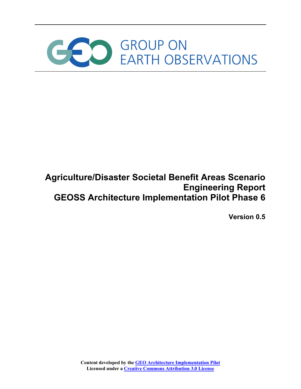

# **Agriculture/Disaster Societal Benefit Areas Scenario Engineering Report GEOSS Architecture Implementation Pilot Phase 6**

**Version 0.5**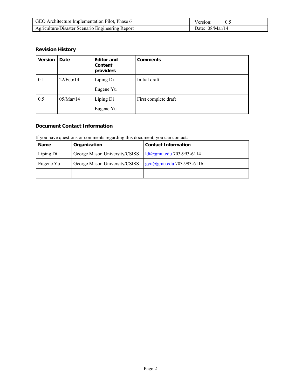| GEO Architecture Implementation Pilot, Phase 6   | Version:          |
|--------------------------------------------------|-------------------|
| Agriculture/Disaster Scenario Engineering Report | Date: $08/Mar/14$ |

# **Revision History**

| <b>Version</b> | Date         | <b>Editor and</b><br>Content<br>providers | <b>Comments</b>      |
|----------------|--------------|-------------------------------------------|----------------------|
| 0.1            | $22$ /Feb/14 | Liping Di                                 | Initial draft        |
|                |              | Eugene Yu                                 |                      |
| 0.5            | 05/Mar/14    | Liping Di                                 | First complete draft |
|                |              | Eugene Yu                                 |                      |

# **Document Contact Information**

# If you have questions or comments regarding this document, you can contact:

| <b>Name</b> | Organization                  | <b>Contact Information</b>           |
|-------------|-------------------------------|--------------------------------------|
| Liping Di   | George Mason University/CSISS | $ldi(\partial gmu.edu 703-993-6114)$ |
| Eugene Yu   | George Mason University/CSISS | gyu@gmu.edu 703-993-6116             |
|             |                               |                                      |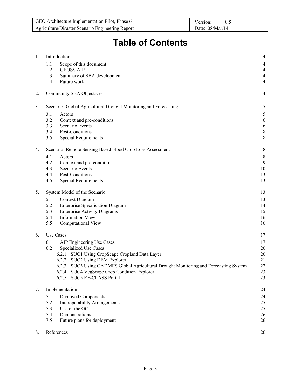| GEO Architecture Implementation Pilot, Phase 6   | Version:          |
|--------------------------------------------------|-------------------|
| Agriculture/Disaster Scenario Engineering Report | Date: $08/Mar/14$ |

# **Table of Contents**

| 1. | Introduction                                                                             | 4              |
|----|------------------------------------------------------------------------------------------|----------------|
|    | 1.1<br>Scope of this document                                                            | $\overline{4}$ |
|    | <b>GEOSS AIP</b><br>1.2                                                                  | $\overline{4}$ |
|    | 1.3<br>Summary of SBA development                                                        | $\overline{4}$ |
|    | 1.4<br>Future work                                                                       | $\overline{4}$ |
| 2. | Community SBA Objectives                                                                 | 4              |
| 3. | Scenario: Global Agricultural Drought Monitoring and Forecasting                         | 5              |
|    | 3.1<br>Actors                                                                            | 5              |
|    | 3.2<br>Context and pre-conditions                                                        | 6              |
|    | Scenario Events<br>3.3                                                                   | 6              |
|    | Post-Conditions<br>3.4                                                                   | $\,$ 8 $\,$    |
|    | 3.5<br><b>Special Requirements</b>                                                       | 8              |
| 4. | Scenario: Remote Sensing Based Flood Crop Loss Assessment                                | 8              |
|    | 4.1<br>Actors                                                                            | 8              |
|    | 4.2<br>Context and pre-conditions                                                        | 9              |
|    | Scenario Events<br>4.3                                                                   | 10             |
|    | Post-Conditions<br>4.4                                                                   | 13             |
|    | <b>Special Requirements</b><br>4.5                                                       | 13             |
| 5. | System Model of the Scenario                                                             | 13             |
|    | 5.1<br>Context Diagram                                                                   | 13             |
|    | <b>Enterprise Specification Diagram</b><br>5.2                                           | 14             |
|    | <b>Enterprise Activity Diagrams</b><br>5.3                                               | 15             |
|    | <b>Information View</b><br>5.4                                                           | 16             |
|    | 5.5<br>Computational View                                                                | 16             |
| 6. | Use Cases                                                                                | 17             |
|    | 6.1<br>AIP Engineering Use Cases                                                         | 17             |
|    | <b>Specialized Use Cases</b><br>6.2                                                      | 20             |
|    | 6.2.1 SUC1 Using CropScape Cropland Data Layer                                           | 20             |
|    | 6.2.2 SUC2 Using DEM Explorer                                                            | 21             |
|    | SUC3 Using GADMFS Global Agricultural Drought Monitoring and Forecasting System<br>6.2.3 | 22             |
|    | 6.2.4 SUC4 VegScape Crop Condition Explorer                                              | 23             |
|    | 6.2.5 SUC5 RF-CLASS Portal                                                               | 23             |
| 7. | Implementation                                                                           | 24             |
|    | Deployed Components<br>7.1                                                               | 24             |
|    | <b>Interoperability Arrangements</b><br>7.2                                              | 25             |
|    | Use of the GCI<br>7.3                                                                    | 25             |
|    | 7.4<br>Demonstrations                                                                    | 26             |
|    | Future plans for deployment<br>7.5                                                       | 26             |
| 8. | References                                                                               | 26             |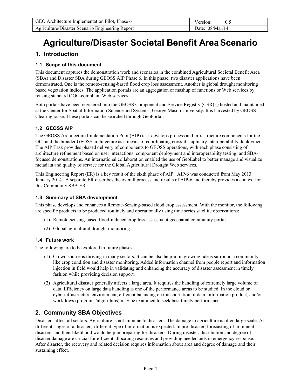| GEO Architecture Implementation Pilot. Phase 6   | Version:          |
|--------------------------------------------------|-------------------|
| Agriculture/Disaster Scenario Engineering Report | Date: $08/Mar/14$ |

# **Agriculture/Disaster Societal Benefit AreaScenario**

# **1. Introduction**

### **1.1 Scope of this document**

This document captures the demonstration work and scenarios in the combined Agricultural Societal Benefit Area (SBA) and Disaster SBA during GEOSS AIP Phase 6. In this phase, two disaster applications have been demonstrated. One is the remote-sensing-based flood crop loss assessment. Another is global drought monitoring based vegetation indices. The application portals are an aggregation or mashup of functions or Web services by reusing standard OGC-compliant Web services.

Both portals have been registered into the GEOSS Component and Service Registry (CSR) () hosted and maintained at the Center for Spatial Information Science and Systems, George Mason University. It is harvested by GEOSS Clearinghouse. These portals can be searched through GeoPortal.

### **1.2 GEOSS AIP**

The GEOSS Architecture Implementation Pilot (AIP) task develops process and infrastructure components for the GCI and the broader GEOSS architecture as a means of coordinating cross-disciplinary interoperability deployment. The AIP Task provides phased delivery of components to GEOSS operations, with each phase consisting of: architecture refinement based on user interactions; component deployment and interoperability testing; and SBAfocused demonstrations. An international collaboration enabled the use of GeoLabel to better manage and visualize metadata and quality of service for the Global Agricultural Drought Web services.

This Engineering Report (ER) is a key result of the sixth phase of AIP. AIP-6 was conducted from May 2013 January 2014. A separate ER describes the overall process and results of AIP-6 and thereby provides a context for this Community SBA ER.

#### **1.3 Summary of SBA development**

This phase develops and enhances a Remote-Sensing-based flood crop assessment. With the monitor, the following are specific products to be produced routinely and operationally using time series satellite observations:

- (1) Remote-sensing-based flood-induced crop loss assessment geospatial community portal
- (2) Global agricultural drought monitoring

#### **1.4 Future work**

The following are to be explored in future phases:

- (1) Crowd source is thriving in many sectors. It can be also helpful in growing ideas surround a community like crop condition and disaster monitoring. Added information channel from people report and information injection in field would help in validating and enhancing the accuracy of disaster assessment in timely fashion while providing decision support.
- (2) Agricultural disaster generally affects a large area. It requires the handling of extremely large volume of data. Efficiency on large data handling is one of the performance areas to be studied. In the cloud or cyberinfrastructure environment, efficient balancing on transportation of data, information product, and/or workflows (programs/algorithms) may be examined to seek best timely performance.

# **2. Community SBA Objectives**

Disasters affect all sectors. Agriculture is not immune to disasters. The damage to agriculture is often large scale. At different stages of a disaster, different type of information is expected. In pre-disaster, forecasting of imminent disasters and their likelihood would help in preparing for disasters. During disaster, distribution and degree of disaster damage are crucial for efficient allocating resources and providing needed aids in emergency response. After disaster, the recovery and related decision requires information about area and degree of damage and their sustaining effect.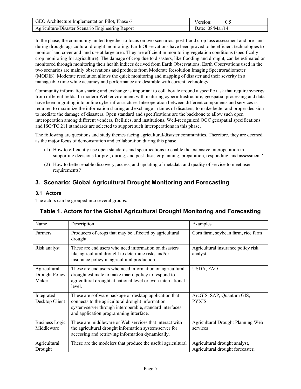| GEO Architecture Implementation Pilot, Phase 6   | Version <sup>-</sup> |
|--------------------------------------------------|----------------------|
| Agriculture/Disaster Scenario Engineering Report | Date: $08/Mar/14$    |

In the phase, the community united together to focus on two scenarios: post-flood crop loss assessment and pre- and during drought agricultural drought monitoring. Earth Observations have been proved to be efficient technologies to monitor land cover and land use at large area. They are efficient in monitoring vegetation conditions (specifically crop monitoring for agriculture). The damage of crop due to disasters, like flooding and drought, can be estimated or monitored through monitoring their health indices derived from Earth Observations. Earth Observations used in the two scenarios are mainly observations and products from Moderate Resolution Imaging Spectroradiometer (MODIS). Moderate resolution allows the quick monitoring and mapping of disaster and their severity in a manageable time while accuracy and performance are desirable with current technology.

Community information sharing and exchange is important to collaborate around a specific task that require synergy from different fields. In modern Web environment with maturing cyberinfrastructure, geospatial processing and data have been migrating into online cyberinfrastructure. Interoperation between different components and services is required to maximize the information sharing and exchange in times of disasters, to make better and proper decision to mediate the damage of disasters. Open standard and specifications are the backbone to allow such open interoperation among different venders, facilities, and institutions. Well-recognized OGC geospatial specifications and ISO/TC 211 standards are selected to support such interoperations in this phase.

The following are questions and study themes facing agricultural/disaster communities. Therefore, they are deemed as the major focus of demonstration and collaboration during this phase.

- (1) How to efficiently use open standards and specifications to enable the extensive interoperation in supporting decisions for pre-, during, and post-disaster planning, preparation, responding, and assessment?
- (2) How to better enable discovery, access, and updating of metadata and quality of service to meet user requirements?

# **3. Scenario: Global Agricultural Drought Monitoring and Forecasting**

# **3.1 Actors**

The actors can be grouped into several groups.

# **Table 1. Actors for the Global Agricultural Drought Monitoring and Forecasting**

| Name                                    | Description                                                                                                                                                                                                      | Examples                                                          |
|-----------------------------------------|------------------------------------------------------------------------------------------------------------------------------------------------------------------------------------------------------------------|-------------------------------------------------------------------|
| Farmers                                 | Producers of crops that may be affected by agricultural<br>drought.                                                                                                                                              | Corn farm, soybean farm, rice farm                                |
| Risk analyst                            | These are end users who need information on disasters<br>like agricultural drought to determine risks and/or<br>insurance policy in agricultural production.                                                     | Agricultural insurance policy risk<br>analyst                     |
| Agricultural<br>Drought Policy<br>Maker | These are end users who need information on agricultural<br>drought estimate to make macro policy to respond to<br>agricultural drought at national level or even international<br>level.                        | USDA, FAO                                                         |
| Integrated<br>Desktop Client            | These are software package or desktop application that<br>connects to the agricultural drought information<br>system/server through interoperable, standard interfaces<br>and application programming interface. | ArcGIS, SAP, Quantum GIS,<br><b>PYXIS</b>                         |
| <b>Business Logic</b><br>Middleware     | These are middleware or Web services that interact with<br>the agricultural drought information system/server for<br>accessing and retrieving information dynamically.                                           | Agricultural Drought Planning Web<br>services                     |
| Agricultural<br>Drought                 | These are the modelers that produce the useful agricultural                                                                                                                                                      | Agricultural drought analyst,<br>Agricultural drought forecaster, |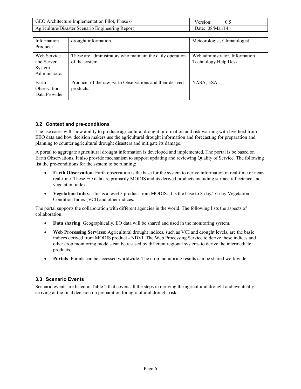| GEO Architecture Implementation Pilot, Phase 6   | Version:          |
|--------------------------------------------------|-------------------|
| Agriculture/Disaster Scenario Engineering Report | Date: $08/Mar/14$ |

| Information<br>Producer                              | drought information.                                                        | Meteorologist, Climatologist                           |
|------------------------------------------------------|-----------------------------------------------------------------------------|--------------------------------------------------------|
| Web Service<br>and Server<br>System<br>Administrator | These are administrators who maintain the daily operation<br>of the system. | Web administrator, Information<br>Technology Help Desk |
| Earth<br>Observation<br>Data Provider                | Producer of the raw Earth Observations and their derived<br>products.       | NASA, ESA                                              |

### **3.2 Context and pre-conditions**

The use cases will show ability to produce agricultural drought information and risk warning with live feed from EEO data and how decision makers use the agricultural drought information and forecasting for preparation and planning to counter agricultural drought disasters and mitigate its damage.

A portal to aggregate agricultural drought information is developed and implemented. The portal is be based on Earth Observations. It also provide mechanism to support updating and reviewing Quality of Service. The following list the pre-conditions for the system to be running:

- **Earth Observation**: Earth observation is the base for the system to derive information in real-time or nearreal-time. These EO data are primarily MODIS and its derived products including surface reflectance and vegetation index.
- **Vegetation Index**: This is a level 3 product from MODIS. It is the base to 8-day/16-day Vegetation Condition Index (VCI) and other indices.

The portal supports the collaboration with different agencies in the world. The following lists the aspects of collaboration.

- **Data sharing**: Geographically, EO data will be shared and used in the monitoring system.
- **Web Processing Services**: Agricultural drought indices, such as VCI and drought levels, are the basic indices derived from MODIS product - NDVI. The Web Processing Service to derive these indices and other crop monitoring models can be re-used by different regional systems to derive the intermediate products.
- **•** Portals: Portals can be accessed worldwide. The crop monitoring results can be shared worldwide.

#### **3.3 Scenario Events**

Scenario events are listed in Table 2 that covers all the steps in deriving the agricultural drought and eventually arriving at the final decision on preparation for agricultural drought risks.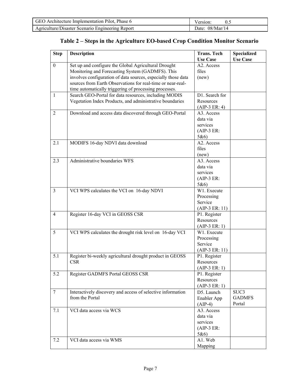| GEO Architecture Implementation Pilot, Phase 6   | Version:          |
|--------------------------------------------------|-------------------|
| Agriculture/Disaster Scenario Engineering Report | Date: $08/Mar/14$ |

# **Table 2 – Steps in the Agriculture EO-based Crop Condition Monitor Scenario**

| <b>Step</b>      | <b>Description</b>                                                                                                                                                                                                                                                                                 | <b>Trans. Tech</b>                                        | <b>Specialized</b>              |
|------------------|----------------------------------------------------------------------------------------------------------------------------------------------------------------------------------------------------------------------------------------------------------------------------------------------------|-----------------------------------------------------------|---------------------------------|
|                  |                                                                                                                                                                                                                                                                                                    | <b>Use Case</b>                                           | <b>Use Case</b>                 |
| $\boldsymbol{0}$ | Set up and configure the Global Agricultural Drought<br>Monitoring and Forecasting System (GADMFS). This<br>involves configuration of data sources, especially those data<br>sources from Earth Observations for real-time or near-real-<br>time automatically triggering of processing processes. | A2. Access<br>files<br>(new)                              |                                 |
| $\mathbf{1}$     | Search GEO-Portal for data resources, including MODIS<br>Vegetation Index Products, and administrative boundaries                                                                                                                                                                                  | D1. Search for<br>Resources<br>$(AIP-3 ER: 4)$            |                                 |
| 2                | Download and access data discovered through GEO-Portal                                                                                                                                                                                                                                             | A3. Access<br>data via<br>services<br>$(AIP-3 ER:$<br>5&6 |                                 |
| 2.1              | MODIFS 16-day NDVI data download                                                                                                                                                                                                                                                                   | A2. Access<br>files<br>(new)                              |                                 |
| 2.3              | Administrative boundaries WFS                                                                                                                                                                                                                                                                      | A3. Access<br>data via<br>services<br>$(AIP-3 ER:$<br>5&6 |                                 |
| $\overline{3}$   | VCI WPS calculates the VCI on 16-day NDVI                                                                                                                                                                                                                                                          | W1. Execute<br>Processing<br>Service<br>$(AIP-3 ER: 11)$  |                                 |
| $\overline{4}$   | Register 16-day VCI in GEOSS CSR                                                                                                                                                                                                                                                                   | P1. Register<br>Resources<br>$(AIP-3 ER: 1)$              |                                 |
| 5                | VCI WPS calculates the drought risk level on 16-day VCI                                                                                                                                                                                                                                            | W1. Execute<br>Processing<br>Service<br>$(AIP-3 ER: 11)$  |                                 |
| 5.1              | Register bi-weekly agricultural drought product in GEOSS<br><b>CSR</b>                                                                                                                                                                                                                             | P1. Register<br>Resources<br>$(AIP-3 ER: 1)$              |                                 |
| 5.2              | Register GADMFS Portal GEOSS CSR                                                                                                                                                                                                                                                                   | P1. Register<br>Resources<br>$(AIP-3 ER: 1)$              |                                 |
| $\tau$           | Interactively discovery and access of selective information<br>from the Portal                                                                                                                                                                                                                     | D5. Launch<br>Enabler App<br>$(AIP-4)$                    | SUC3<br><b>GADMFS</b><br>Portal |
| 7.1              | VCI data access via WCS                                                                                                                                                                                                                                                                            | A3. Access<br>data via<br>services<br>$(AIP-3 ER:$<br>5&6 |                                 |
| 7.2              | VCI data access via WMS                                                                                                                                                                                                                                                                            | A1. Web<br>Mapping                                        |                                 |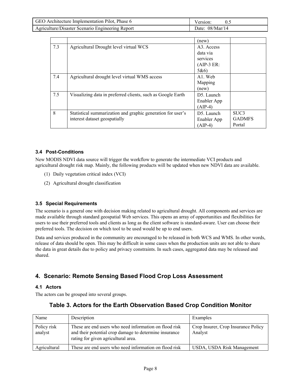| GEO Architecture Implementation Pilot, Phase 6   | Version:          |
|--------------------------------------------------|-------------------|
| Agriculture/Disaster Scenario Engineering Report | Date: $08/Mar/14$ |

|     |                                                             | (new)                   |                  |
|-----|-------------------------------------------------------------|-------------------------|------------------|
| 7.3 | Agricultural Drought level virtual WCS                      | A <sub>3</sub> . Access |                  |
|     |                                                             | data via                |                  |
|     |                                                             | services                |                  |
|     |                                                             | $(AIP-3 ER:$            |                  |
|     |                                                             | 5&6                     |                  |
| 7.4 | Agricultural drought level virtual WMS access               | A <sub>1</sub> . Web    |                  |
|     |                                                             | Mapping                 |                  |
|     |                                                             | (new)                   |                  |
| 7.5 | Visualizing data in preferred clients, such as Google Earth | D5. Launch              |                  |
|     |                                                             | Enabler App             |                  |
|     |                                                             | $(AIP-4)$               |                  |
| 8   | Statistical summarization and graphic generation for user's | D5. Launch              | SUC <sub>3</sub> |
|     | interest dataset geospatially                               | Enabler App             | <b>GADMES</b>    |
|     |                                                             | $(AIP-4)$               | Portal           |

#### **3.4 Post-Conditions**

New MODIS NDVI data source will trigger the workflow to generate the intermediate VCI products and agricultural drought risk map. Mainly, the following products will be updated when new NDVI data are available.

- (1) Daily vegetation critical index (VCI)
- (2) Agricultural drought classification

#### **3.5 Special Requirements**

The scenario is a general one with decision making related to agricultural drought. All components and services are made available through standard geospatial Web services. This opens an array of opportunities and flexibilities for users to use their preferred tools and clients as long as the client software is standard-aware. User can choose their preferred tools. The decision on which tool to be used would be up to end users.

Data and services produced in the community are encouraged to be released in both WCS and WMS. In other words, release of data should be open. This may be difficult in some cases when the production units are not able to share the data in great details due to policy and privacy constraints. In such cases, aggregated data may be released and shared.

# **4. Scenario: Remote Sensing Based Flood Crop Loss Assessment**

#### **4.1 Actors**

The actors can be grouped into several groups.

# **Table 3. Actors for the Earth Observation Based Crop Condition Monitor**

| Name                   | Description                                                                                                                                             | Examples                                       |
|------------------------|---------------------------------------------------------------------------------------------------------------------------------------------------------|------------------------------------------------|
| Policy risk<br>analyst | These are end users who need information on flood risk<br>and their potential crop damage to determine insurance<br>rating for given agricultural area. | Crop Insurer, Crop Insurance Policy<br>Analyst |
| Agricultural           | These are end users who need information on flood risk                                                                                                  | USDA, USDA Risk Management                     |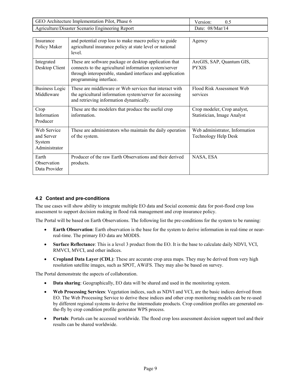| GEO Architecture Implementation Pilot, Phase 6   | Version:          |
|--------------------------------------------------|-------------------|
| Agriculture/Disaster Scenario Engineering Report | Date: $08/Mar/14$ |

| Insurance<br>Policy Maker                            | and potential crop loss to make macro policy to guide<br>agricultural insurance policy at state level or national<br>level                                                                               | Agency                                                     |
|------------------------------------------------------|----------------------------------------------------------------------------------------------------------------------------------------------------------------------------------------------------------|------------------------------------------------------------|
| Integrated<br>Desktop Client                         | These are software package or desktop application that<br>connects to the agricultural information system/server<br>through interoperable, standard interfaces and application<br>programming interface. | ArcGIS, SAP, Quantum GIS,<br><b>PYXIS</b>                  |
| <b>Business Logic</b><br>Middleware                  | These are middleware or Web services that interact with<br>the agricultural information system/server for accessing<br>and retrieving information dynamically.                                           | Flood Risk Assessment Web<br>services                      |
| Crop<br>Information<br>Producer                      | These are the modelers that produce the useful crop<br>information                                                                                                                                       | Crop modeler, Crop analyst,<br>Statistician, Image Analyst |
| Web Service<br>and Server<br>System<br>Administrator | These are administrators who maintain the daily operation<br>of the system.                                                                                                                              | Web administrator, Information<br>Technology Help Desk     |
| Earth<br>Observation<br>Data Provider                | Producer of the raw Earth Observations and their derived<br>products.                                                                                                                                    | NASA, ESA                                                  |

#### **4.2 Context and pre-conditions**

The use cases will show ability to integrate multiple EO data and Social economic data for post-flood crop loss assessment to support decision making in flood risk management and crop insurance policy.

The Portal will be based on Earth Observations. The following list the pre-conditions for the system to be running:

- **Earth Observation**: Earth observation is the base for the system to derive information in real-time or nearreal-time. The primary EO data are MODIS.
- **Surface Reflectance**: This is a level 3 product from the EO. It is the base to calculate daily NDVI, VCI, RMVCI, MVCI, and other indices.
- Cropland Data Layer (CDL): These are accurate crop area maps. They may be derived from very high resolution satellite images, such as SPOT, AWiFS. They may also be based on survey.

The Portal demonstrate the aspects of collaboration.

- **Data sharing**: Geographically, EO data will be shared and used in the monitoring system.
- **Web Processing Services**: Vegetation indices, such as NDVI and VCI, are the basic indices derived from EO. The Web Processing Service to derive these indices and other crop monitoring models can be re-used by different regional systems to derive the intermediate products. Crop condition profiles are generated onthe-fly by crop condition profile generator WPS process.
- **Portals**: Portals can be accessed worldwide. The flood crop loss assessment decision support tool and their results can be shared worldwide.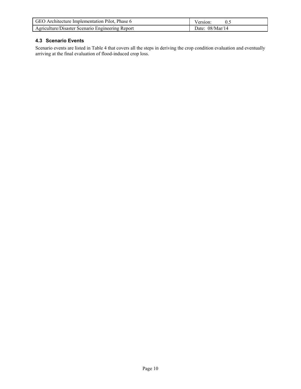| GEO Architecture Implementation Pilot, Phase 6   | Version:        |
|--------------------------------------------------|-----------------|
| Agriculture/Disaster Scenario Engineering Report | Date: 08/Mar/14 |

### **4.3 Scenario Events**

Scenario events are listed in Table 4 that covers all the steps in deriving the crop condition evaluation and eventually arriving at the final evaluation of flood-induced crop loss.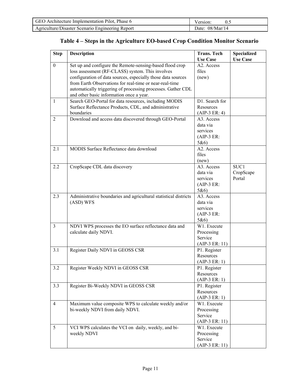| GEO Architecture Implementation Pilot, Phase 6   | Version:          |
|--------------------------------------------------|-------------------|
| Agriculture/Disaster Scenario Engineering Report | Date: $08/Mar/14$ |

| <b>Step</b>      | <b>Description</b>                                                                                                                                                                                                                                                                                                                                  | <b>Trans. Tech</b><br><b>Use Case</b>                     | <b>Specialized</b><br><b>Use Case</b> |
|------------------|-----------------------------------------------------------------------------------------------------------------------------------------------------------------------------------------------------------------------------------------------------------------------------------------------------------------------------------------------------|-----------------------------------------------------------|---------------------------------------|
| $\boldsymbol{0}$ | Set up and configure the Remote-sensing-based flood crop<br>loss assessment (RF-CLASS) system. This involves<br>configuration of data sources, especially those data sources<br>from Earth Observations for real-time or near-real-time<br>automatically triggering of processing processes. Gather CDL<br>and other basic information once a year. | A2. Access<br>files<br>(new)                              |                                       |
| 1                | Search GEO-Portal for data resources, including MODIS<br>Surface Reflectance Products, CDL, and administrative<br>boundaries                                                                                                                                                                                                                        | D1. Search for<br>Resources<br>$(AIP-3 ER: 4)$            |                                       |
| 2                | Download and access data discovered through GEO-Portal                                                                                                                                                                                                                                                                                              | A3. Access<br>data via<br>services<br>$(AIP-3 ER:$<br>5&6 |                                       |
| 2.1              | MODIS Surface Reflectance data download                                                                                                                                                                                                                                                                                                             | A2. Access<br>files<br>(new)                              |                                       |
| 2.2              | CropScape CDL data discovery                                                                                                                                                                                                                                                                                                                        | A3. Access<br>data via<br>services<br>$(AIP-3 ER:$<br>5&6 | SUC1<br>CropScape<br>Portal           |
| 2.3              | Administrative boundaries and agricultural statistical districts<br>(ASD) WFS                                                                                                                                                                                                                                                                       | A3. Access<br>data via<br>services<br>$(AIP-3 ER:$<br>5&6 |                                       |
| $\overline{3}$   | NDVI WPS processes the EO surface reflectance data and<br>calculate daily NDVI.                                                                                                                                                                                                                                                                     | W1. Execute<br>Processing<br>Service<br>$(AIP-3 ER: 11)$  |                                       |
| 3.1              | Register Daily NDVI in GEOSS CSR                                                                                                                                                                                                                                                                                                                    | P1. Register<br>Resources<br>$(AIP-3 ER: 1)$              |                                       |
| 3.2              | Register Weekly NDVI in GEOSS CSR                                                                                                                                                                                                                                                                                                                   | P1. Register<br>Resources<br>$(AIP-3 ER: 1)$              |                                       |
| 3.3              | Register Bi-Weekly NDVI in GEOSS CSR                                                                                                                                                                                                                                                                                                                | P1. Register<br>Resources<br>$(AIP-3 ER: 1)$              |                                       |
| $\overline{4}$   | Maximum value composite WPS to calculate weekly and/or<br>bi-weekly NDVI from daily NDVI.                                                                                                                                                                                                                                                           | W1. Execute<br>Processing<br>Service<br>$(AIP-3 ER: 11)$  |                                       |
| 5 <sup>5</sup>   | VCI WPS calculates the VCI on daily, weekly, and bi-<br>weekly NDVI                                                                                                                                                                                                                                                                                 | W1. Execute<br>Processing<br>Service<br>$(AIP-3 ER: 11)$  |                                       |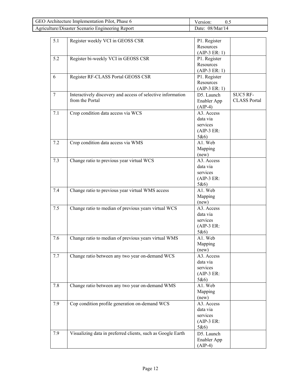| GEO Architecture Implementation Pilot, Phase 6   | Version:          |
|--------------------------------------------------|-------------------|
| Agriculture/Disaster Scenario Engineering Report | Date: $08/Mar/14$ |

| 5.1 | Register weekly VCI in GEOSS CSR                            | P1. Register    |                     |
|-----|-------------------------------------------------------------|-----------------|---------------------|
|     |                                                             | Resources       |                     |
|     |                                                             | $(AIP-3 ER: 1)$ |                     |
| 5.2 | Register bi-weekly VCI in GEOSS CSR                         | P1. Register    |                     |
|     |                                                             | Resources       |                     |
|     |                                                             |                 |                     |
|     |                                                             | $(AIP-3 ER: 1)$ |                     |
| 6   | Register RF-CLASS Portal GEOSS CSR                          | P1. Register    |                     |
|     |                                                             | Resources       |                     |
|     |                                                             | $(AIP-3 ER: 1)$ |                     |
| 7   | Interactively discovery and access of selective information | D5. Launch      | SUC5 RF-            |
|     | from the Portal                                             | Enabler App     | <b>CLASS Portal</b> |
|     |                                                             | $(AIP-4)$       |                     |
| 7.1 | Crop condition data access via WCS                          | A3. Access      |                     |
|     |                                                             | data via        |                     |
|     |                                                             | services        |                     |
|     |                                                             | $(AIP-3 ER:$    |                     |
|     |                                                             |                 |                     |
|     |                                                             | 5&6             |                     |
| 7.2 | Crop condition data access via WMS                          | A1. Web         |                     |
|     |                                                             | Mapping         |                     |
|     |                                                             | (new)           |                     |
| 7.3 | Change ratio to previous year virtual WCS                   | A3. Access      |                     |
|     |                                                             | data via        |                     |
|     |                                                             | services        |                     |
|     |                                                             | $(AIP-3 ER:$    |                     |
|     |                                                             | 5&6             |                     |
| 7.4 | Change ratio to previous year virtual WMS access            | A1. Web         |                     |
|     |                                                             | Mapping         |                     |
|     |                                                             | (new)           |                     |
| 7.5 | Change ratio to median of previous years virtual WCS        | A3. Access      |                     |
|     |                                                             | data via        |                     |
|     |                                                             | services        |                     |
|     |                                                             | $(AIP-3 ER:$    |                     |
|     |                                                             |                 |                     |
|     |                                                             | 5&6             |                     |
| 7.6 | Change ratio to median of previous years virtual WMS        | A1. Web         |                     |
|     |                                                             | Mapping         |                     |
|     |                                                             | (new)           |                     |
| 7.7 | Change ratio between any two year on-demand WCS             | A3. Access      |                     |
|     |                                                             | data via        |                     |
|     |                                                             | services        |                     |
|     |                                                             | $(AIP-3 ER:$    |                     |
|     |                                                             | 5&6             |                     |
| 7.8 | Change ratio between any two year on-demand WMS             | A1. Web         |                     |
|     |                                                             | Mapping         |                     |
|     |                                                             | (new)           |                     |
| 7.9 | Cop condition profile generation on-demand WCS              | A3. Access      |                     |
|     |                                                             | data via        |                     |
|     |                                                             | services        |                     |
|     |                                                             |                 |                     |
|     |                                                             | $(AIP-3 ER:$    |                     |
|     |                                                             | 5&6             |                     |
| 7.9 | Visualizing data in preferred clients, such as Google Earth | D5. Launch      |                     |
|     |                                                             | Enabler App     |                     |
|     |                                                             | $(AIP-4)$       |                     |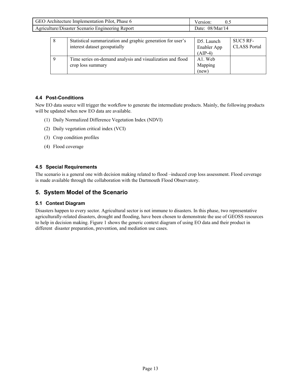| GEO Architecture Implementation Pilot, Phase 6   | Version:        |
|--------------------------------------------------|-----------------|
| Agriculture/Disaster Scenario Engineering Report | Date: 08/Mar/14 |

| 8 | Statistical summarization and graphic generation for user's<br>interest dataset geospatially | D5. Launch<br>Enabler App<br>$(AIP-4)$ | SUC5 RF-<br><b>CLASS Portal</b> |
|---|----------------------------------------------------------------------------------------------|----------------------------------------|---------------------------------|
| 9 | Time series on-demand analysis and visualization and flood<br>crop loss summary              | A1. Web<br>Mapping<br>(new)            |                                 |

### **4.4 Post-Conditions**

New EO data source will trigger the workflow to generate the intermediate products. Mainly, the following products will be updated when new EO data are available.

- (1) Daily Normalized Difference Vegetation Index (NDVI)
- (2) Daily vegetation critical index (VCI)
- (3) Crop condition profiles
- (4) Flood coverage

#### **4.5 Special Requirements**

The scenario is a general one with decision making related to flood –induced crop loss assessment. Flood coverage is made available through the collaboration with the Dartmouth Flood Observatory.

# **5. System Model of the Scenario**

#### **5.1 Context Diagram**

Disasters happen to every sector. Agricultural sector is not immune to disasters. In this phase, two representative agriculturally-related disasters, drought and flooding, have been chosen to demonstrate the use of GEOSS resources to help in decision making. Figure 1 shows the generic context diagram of using EO data and their product in different disaster preparation, prevention, and mediation use cases.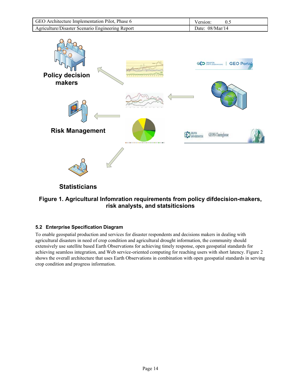| GEO Architecture Implementation Pilot, Phase 6   | Version:          |
|--------------------------------------------------|-------------------|
| Agriculture/Disaster Scenario Engineering Report | Date: $08/Mar/14$ |



# **Figure 1. Agricultural Infomration requirements from policy difdecision-makers, risk analysts, and statsiticsions**

# **5.2 Enterprise Specification Diagram**

To enable geospatial production and services for disaster respondents and decisions makers in dealing with agricultural disasters in need of crop condition and agricultural drought information, the community should extensively use satellite based Earth Observations for achieving timely response, open geospatial standards for achieving seamless integration, and Web service-oriented computing for reaching users with short latency. Figure 2 shows the overall architecture that uses Earth Observations in combination with open geospatial standards in serving crop condition and progress information.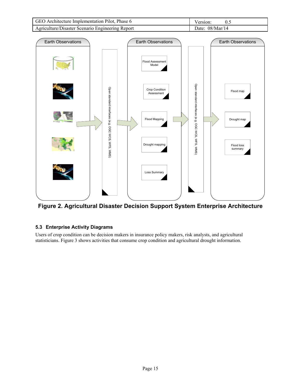| GEO Architecture Implementation Pilot, Phase 6   | Version:          |
|--------------------------------------------------|-------------------|
| Agriculture/Disaster Scenario Engineering Report | Date: $08/Mar/14$ |



**Figure 2. Agricultural Disaster Decision Support System Enterprise Architecture** 

# **5.3 Enterprise Activity Diagrams**

Users of crop condition can be decision makers in insurance policy makers, risk analysts, and agricultural statisticians. Figure 3 shows activities that consume crop condition and agricultural drought information.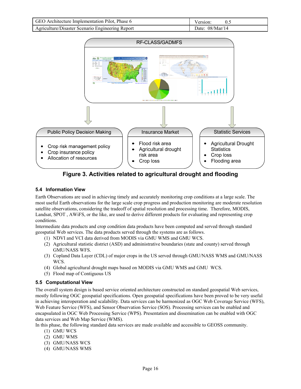| GEO Architecture Implementation Pilot, Phase 6   | Version:          |
|--------------------------------------------------|-------------------|
| Agriculture/Disaster Scenario Engineering Report | Date: $08/Mar/14$ |



**Figure 3. Activities related to agricultural drought and flooding** 

# **5.4 Information View**

Earth Observations are used in achieving timely and accurately monitoring crop conditions at a large scale. The most useful Earth observations for the large scale crop progress and production monitoring are moderate resolution satellite observations, considering the tradeoff of spatial resolution and processing time. Therefore, MODIS, Landsat, SPOT , AWiFS, or the like, are used to derive different products for evaluating and representing crop conditions.

Intermediate data products and crop condition data products have been computed and served through standard geospatial Web services. The data products served through the systems are as follows.

- (1) NDVI and VCI data derived from MODIS via GMU WMS and GMU WCS.
- (2) Agricultural statistic district (ASD) and administrative boundaries (state and county) served through GMU/NASS WFS.
- (3) Copland Data Layer (CDL) of major crops in the US served through GMU/NASS WMS and GMU/NASS WCS.
- (4) Global agricultural drought maps based on MODIS via GMU WMS and GMU WCS.
- (5) Flood map of Contiguous US

#### **5.5 Computational View**

The overall system design is based service oriented architecture constructed on standard geospatial Web services, mostly following OGC geospatial specifications. Open geospatial specifications have been proved to be very useful in achieving interoperation and scalability. Data services can be harmonized as OGC Web Coverage Service (WFS), Web Feature Service (WFS), and Sensor Observation Service (SOS). Processing services can be enabled and encapsulated in OGC Web Processing Service (WPS). Presentation and dissemination can be enabled with OGC data services and Web Map Service (WMS).

In this phase, the following standard data services are made available and accessible to GEOSS community.

- (1) GMU WCS
- (2) GMU WMS
- (3) GMU/NASS WCS
- (4) GMU/NASS WMS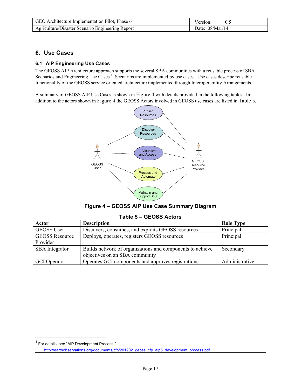| GEO Architecture Implementation Pilot, Phase 6   | Version:          |
|--------------------------------------------------|-------------------|
| Agriculture/Disaster Scenario Engineering Report | Date: $08/Mar/14$ |

# **6. Use Cases**

#### **6.1 AIP Engineering Use Cases**

The GEOSS AIP Architecture approach supports the several SBA communities with a reusable process of SBA Scenarios and Engineering Use Cases.<sup>1</sup> Scenarios are implemented by use cases. Use cases describe reusable functionality of the GEOSS service oriented architecture implemented through Interoperability Arrangements.

A summary of GEOSS AIP Use Cases is shown in Figure 4 with details provided in the following tables. In addition to the actors shown in Figure 4 the GEOSS Actors involved in GEOSS use cases are listed in Table 5.



| Figure 4 - GEOSS AIP Use Case Summary Diagram |  |  |  |
|-----------------------------------------------|--|--|--|
|-----------------------------------------------|--|--|--|

| Actor                 | <b>Description</b>                                        | <b>Role Type</b> |
|-----------------------|-----------------------------------------------------------|------------------|
| <b>GEOSS User</b>     | Discovers, consumes, and exploits GEOSS resources         | Principal        |
| <b>GEOSS Resource</b> | Deploys, operates, registers GEOSS resources              | Principal        |
| Provider              |                                                           |                  |
| <b>SBA</b> Integrator | Builds network of organizations and components to achieve | Secondary        |
|                       | objectives on an SBA community                            |                  |
| GCI Operator          | Operates GCI components and approves registrations        | Administrative   |

#### **Table 5 – GEOSS Actors**

 $\overline{a}$ 

<sup>&</sup>lt;sup>1</sup> For details, see "AIP Development Process,"

http://earthobservations.org/documents/cfp/201202\_geoss\_cfp\_aip5\_development\_process.pdf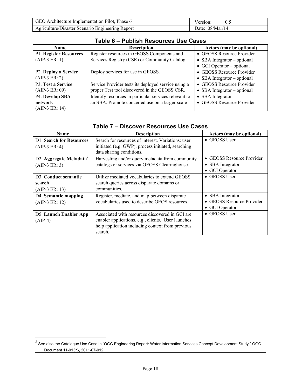| GEO Architecture Implementation Pilot, Phase 6   | Version <sup>-</sup> |
|--------------------------------------------------|----------------------|
| Agriculture/Disaster Scenario Engineering Report | Date: $08/Mar/14$    |

| <b>Name</b>            | <b>Description</b>                                    | Actors (may be optional)          |
|------------------------|-------------------------------------------------------|-----------------------------------|
| P1. Register Resources | Register resources in GEOSS Components and            | • GEOSS Resource Provider         |
| $(AIP-3 ER: 1)$        | Services Registry (CSR) or Community Catalog          | • SBA Integrator – optional       |
|                        |                                                       | $\bullet$ GCI Operator – optional |
| P2. Deploy a Service   | Deploy services for use in GEOSS.                     | • GEOSS Resource Provider         |
| $(AIP-3 ER: 2)$        |                                                       | • SBA Integrator $-$ optional     |
| P3. Test a Service     | Service Provider tests its deployed service using a   | • GEOSS Resource Provider         |
| $(AIP-3 ER: 09)$       | proper Test tool discovered in the GEOSS CSR.         | • SBA Integrator $-$ optional     |
| P4. Develop SBA        | Identify resources in particular services relevant to | • SBA Integrator                  |
| network                | an SBA. Promote concerted use on a larger-scale       | • GEOSS Resource Provider         |
| $(AIP-3 ER: 14)$       |                                                       |                                   |

# **Table 6 – Publish Resources Use Cases**

# **Table 7 – Discover Resources Use Cases**

| <b>Name</b>                                                     | <b>Description</b>                                                                                                                                                   | <b>Actors (may be optional)</b>                                 |
|-----------------------------------------------------------------|----------------------------------------------------------------------------------------------------------------------------------------------------------------------|-----------------------------------------------------------------|
| <b>D1.</b> Search for Resources<br>$(AIP-3 ER: 4)$              | Search for resources of interest. Variations: user<br>initiated (e.g. GWP), process initiated, searching<br>data sharing conditions.                                 | $\bullet$ GEOSS User                                            |
| D2. Aggregate Metadata <sup>2</sup><br>$(AIP-3 ER: 3)$          | Harvesting and/or query metadata from community<br>catalogs or services via GEOSS Clearinghouse                                                                      | • GEOSS Resource Provider<br>• SBA Integrator<br>• GCI Operator |
| D <sub>3</sub> . Conduct semantic<br>search<br>$(AIP-3 ER: 13)$ | Utilize mediated vocabularies to extend GEOSS<br>search queries across disparate domains or<br>communities.                                                          | $\bullet$ GEOSS User                                            |
| D4. Semantic mapping<br>$(AIP-3 ER: 12)$                        | Register, mediate, and map between disparate<br>vocabularies used to describe GEOS resources.                                                                        | • SBA Integrator<br>• GEOSS Resource Provider<br>• GCI Operator |
| D5. Launch Enabler App<br>$(AIP-4)$                             | Associated with resources discovered in GCI are<br>enabler applications, e.g., clients. User launches<br>help application including context from previous<br>search. | $\bullet$ GEOSS User                                            |

 $\overline{a}$ 

 $^2$  See also the Catalogue Use Case in "OGC Engineering Report: Water Information Services Concept Development Study," OGC Document 11-013r6, 2011-07-012.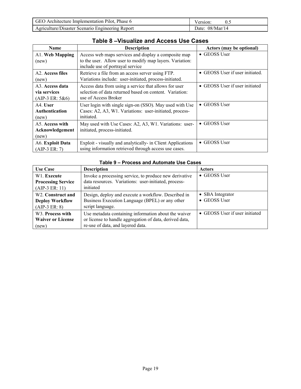| GEO Architecture Implementation Pilot. Phase 6   | Version           |
|--------------------------------------------------|-------------------|
| Agriculture/Disaster Scenario Engineering Report | Date: $08/Mar/14$ |

| <b>Name</b>                                                       | <b>Description</b>                                                                                                                                   | <b>Actors (may be optional)</b> |
|-------------------------------------------------------------------|------------------------------------------------------------------------------------------------------------------------------------------------------|---------------------------------|
| Al. Web Mapping<br>(new)                                          | Access web maps services and display a composite map<br>to the user. Allow user to modify map layers. Variation:<br>include use of portrayal service | $\bullet$ GEOSS User            |
| A <sub>2</sub> . Access files<br>(new)                            | Retrieve a file from an access server using FTP.<br>Variations include: user-initiated, process-initiated.                                           | • GEOSS User if user initiated. |
| A <sub>3</sub> . Access data<br>via services<br>$(AIP-3 ER: 5&6)$ | Access data from using a service that allows for user<br>selection of data returned based on content. Variation:<br>use of Access Broker             | • GEOSS User if user initiated  |
| A4. User<br>Authentication<br>(new)                               | User login with single sign-on (SSO). May used with Use<br>Cases: A2, A3, W1. Variations: user-initiated, process-<br>initiated.                     | • GEOSS User                    |
| A5. Access with<br>Acknowledgement<br>(new)                       | May used with Use Cases: A2, A3, W1. Variations: user-<br>initiated, process-initiated.                                                              | • GEOSS User                    |
| A6. Exploit Data<br>$(AIP-3 ER: 7)$                               | Exploit - visually and analytically- in Client Applications<br>using information retrieved through access use cases.                                 | • GEOSS User                    |

# **Table 8 –Visualize and Access Use Cases**

### **Table 9 – Process and Automate Use Cases**

| <b>Use Case</b>                | <b>Description</b>                                      | <b>Actors</b>                  |
|--------------------------------|---------------------------------------------------------|--------------------------------|
| W1. Execute                    | Invoke a processing service, to produce new derivative  | $\bullet$ GEOSS User           |
| <b>Processing Service</b>      | data resources. Variations: user-initiated, process-    |                                |
| $(AIP-3 ER: 11)$               | initiated                                               |                                |
| W <sub>2</sub> . Construct and | Design, deploy and execute a workflow. Described in     | • SBA Integrator               |
| <b>Deploy Workflow</b>         | Business Execution Language (BPEL) or any other         | • GEOSS User                   |
| $(AIP-3 ER: 8)$                | script language.                                        |                                |
| W <sub>3</sub> . Process with  | Use metadata containing information about the waiver    | • GEOSS User if user initiated |
| <b>Waiver or License</b>       | or license to handle aggregation of data, derived data, |                                |
| (new)                          | re-use of data, and layered data.                       |                                |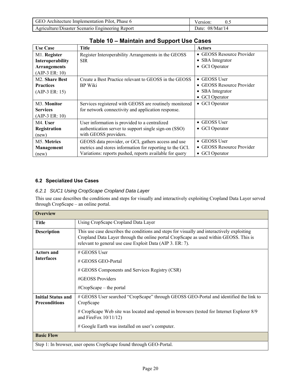| GEO Architecture Implementation Pilot, Phase 6   | Version:          |
|--------------------------------------------------|-------------------|
| Agriculture/Disaster Scenario Engineering Report | Date: $08/Mar/14$ |

| Table TV – Mallitalli allu Support OSE Cases |                                                          |                           |
|----------------------------------------------|----------------------------------------------------------|---------------------------|
| <b>Use Case</b>                              | Title                                                    | <b>Actors</b>             |
| M1. Register                                 | Register Interoperability Arrangements in the GEOSS      | • GEOSS Resource Provider |
| Interoperability                             | <b>SIR</b>                                               | • SBA Integrator          |
| <b>Arrangements</b>                          |                                                          | • GCI Operator            |
| $(AIP-3 ER: 10)$                             |                                                          |                           |
| M <sub>2</sub> . Share Best                  | Create a Best Practice relevant to GEOSS in the GEOSS    | • GEOSS User              |
| <b>Practices</b>                             | BP Wiki                                                  | • GEOSS Resource Provider |
| $(AIP-3 ER: 15)$                             |                                                          | • SBA Integrator          |
|                                              |                                                          | • GCI Operator            |
| M <sub>3</sub> . Monitor                     | Services registered with GEOSS are routinely monitored   | • GCI Operator            |
| <b>Services</b>                              | for network connectivity and application response.       |                           |
| $(AIP-3 ER: 10)$                             |                                                          |                           |
| M4. User                                     | User information is provided to a centralized            | $\bullet$ GEOSS User      |
| Registration                                 | authentication server to support single sign-on (SSO)    | • GCI Operator            |
| (new)                                        | with GEOSS providers.                                    |                           |
| M <sub>5</sub> . Metrics                     | GEOSS data provider, or GCI, gathers access and use      | • GEOSS User              |
| <b>Management</b>                            | metrics and stores information for reporting to the GCI. | • GEOSS Resource Provider |
| (new)                                        | Variations: reports pushed, reports available for query  | • GCI Operator            |

**Table 10 – Maintain and Support Use Cases** 

# **6.2 Specialized Use Cases**

#### *6.2.1 SUC1 Using CropScape Cropland Data Layer*

This use case describes the conditions and steps for visually and interactively exploiting Cropland Data Layer served through CropScape – an online portal.

| <b>Overview</b>                                   |                                                                                                                                                                                                                                                  |
|---------------------------------------------------|--------------------------------------------------------------------------------------------------------------------------------------------------------------------------------------------------------------------------------------------------|
| <b>Title</b>                                      | Using CropScape Cropland Data Layer                                                                                                                                                                                                              |
| <b>Description</b>                                | This use case describes the conditions and steps for visually and interactively exploiting<br>Cropland Data Layer through the online portal CropScape as used within GEOSS. This is<br>relevant to general use case Exploit Data (AIP 3. ER: 7). |
| <b>Actors and</b>                                 | $\#$ GEOSS User                                                                                                                                                                                                                                  |
| <b>Interfaces</b>                                 | # GEOSS GEO-Portal                                                                                                                                                                                                                               |
|                                                   | # GEOSS Components and Services Registry (CSR)                                                                                                                                                                                                   |
|                                                   | #GEOSS Providers                                                                                                                                                                                                                                 |
|                                                   | $\#CropScope - the portal$                                                                                                                                                                                                                       |
| <b>Initial Status and</b><br><b>Preconditions</b> | # GEOSS User searched "CropScape" through GEOSS GEO-Portal and identified the link to<br>CropScape                                                                                                                                               |
|                                                   | # CropScape Web site was located and opened in browsers (tested for Internet Explorer 8/9<br>and FireFox $10/11/12$ )                                                                                                                            |
|                                                   | # Google Earth was installed on user's computer.                                                                                                                                                                                                 |
| <b>Basic Flow</b>                                 |                                                                                                                                                                                                                                                  |
|                                                   | Step 1: In browser, user opens CropScape found through GEO-Portal.                                                                                                                                                                               |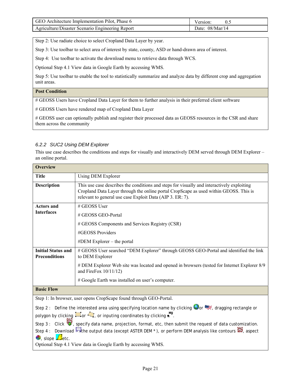| GEO Architecture Implementation Pilot, Phase 6   | Version:          |
|--------------------------------------------------|-------------------|
| Agriculture/Disaster Scenario Engineering Report | Date: $08/Mar/14$ |

Step 2: Use radiate choice to select Cropland Data Layer by year.

Step 3: Use toolbar to select area of interest by state, county, ASD or hand-drawn area of interest.

Step 4: Use toolbar to activate the download menu to retrieve data through WCS.

Optional Step 4.1 View data in Google Earth by accessing WMS.

Step 5: Use toolbar to enable the tool to statistically summarize and analyze data by different crop and aggregation unit areas.

#### **Post Condition**

# GEOSS Users have Cropland Data Layer for them to further analysis in their preferred client software

# GEOSS Users have rendered map of Cropland Data Layer

# GEOSS user can optionally publish and register their processed data as GEOSS resources in the CSR and share them across the community

# *6.2.2 SUC2 Using DEM Explorer*

This use case describes the conditions and steps for visually and interactively DEM served through DEM Explorer – an online portal.

| <b>Overview</b>                                   |                                                                                                                                                                                                                                                  |
|---------------------------------------------------|--------------------------------------------------------------------------------------------------------------------------------------------------------------------------------------------------------------------------------------------------|
| <b>Title</b>                                      | Using DEM Explorer                                                                                                                                                                                                                               |
| <b>Description</b>                                | This use case describes the conditions and steps for visually and interactively exploiting<br>Cropland Data Layer through the online portal CropScape as used within GEOSS. This is<br>relevant to general use case Exploit Data (AIP 3. ER: 7). |
| <b>Actors and</b>                                 | # GEOSS User                                                                                                                                                                                                                                     |
| <b>Interfaces</b>                                 | # GEOSS GEO-Portal                                                                                                                                                                                                                               |
|                                                   | # GEOSS Components and Services Registry (CSR)                                                                                                                                                                                                   |
|                                                   | #GEOSS Providers                                                                                                                                                                                                                                 |
|                                                   | $# DEM$ Explorer – the portal                                                                                                                                                                                                                    |
| <b>Initial Status and</b><br><b>Preconditions</b> | # GEOSS User searched "DEM Explorer" through GEOSS GEO-Portal and identified the link<br>to DEM Explorer                                                                                                                                         |
|                                                   | # DEM Explorer Web site was located and opened in browsers (tested for Internet Explorer 8/9<br>and FireFox $10/11/12$ )                                                                                                                         |
|                                                   | # Google Earth was installed on user's computer.                                                                                                                                                                                                 |
| <b>Basic Flow</b>                                 |                                                                                                                                                                                                                                                  |
|                                                   | Step 1: In browser, user opens CropScape found through GEO-Portal.                                                                                                                                                                               |
|                                                   | Step 2: Define the interested area using specifying location name by clicking or the dragging rectangle or                                                                                                                                       |
|                                                   | polygon by clicking and or our finance of the cordinates by clicking ■ .                                                                                                                                                                         |
|                                                   | Step 3: Click $\mathbf{\hat{V}}$ , specify data name, projection, format, etc, then submit the request of data customization.                                                                                                                    |
| $\mathbb{Z}$ , slope $\mathbb{Z}$ etc.            | Step 4 : Download $\blacksquare$ the output data (except ASTER DEM *), or perform DEM analysis like contours $\blacksquare$ , aspect                                                                                                             |
|                                                   | Optional Step 4.1 View data in Google Earth by accessing WMS.                                                                                                                                                                                    |
|                                                   |                                                                                                                                                                                                                                                  |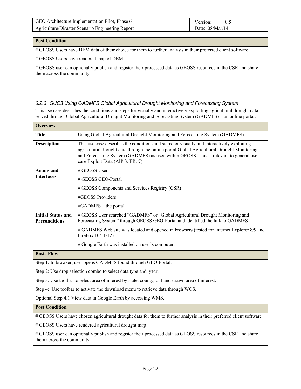| GEO Architecture Implementation Pilot, Phase 6   | Version:          |
|--------------------------------------------------|-------------------|
| Agriculture/Disaster Scenario Engineering Report | Date: $08/Mar/14$ |

### **Post Condition**

# GEOSS Users have DEM data of their choice for them to further analysis in their preferred client software

# GEOSS Users have rendered map of DEM

# GEOSS user can optionally publish and register their processed data as GEOSS resources in the CSR and share them across the community

#### *6.2.3 SUC3 Using GADMFS Global Agricultural Drought Monitoring and Forecasting System*

This use case describes the conditions and steps for visually and interactively exploiting agricultural drought data served through Global Agricultural Drought Monitoring and Forecasting System (GADMFS) – an online portal.

| <b>Overview</b>                                                                 |                                                                                                                                                                                                                                                                                                                        |
|---------------------------------------------------------------------------------|------------------------------------------------------------------------------------------------------------------------------------------------------------------------------------------------------------------------------------------------------------------------------------------------------------------------|
| <b>Title</b>                                                                    | Using Global Agricultural Drought Monitoring and Forecasting System (GADMFS)                                                                                                                                                                                                                                           |
| <b>Description</b>                                                              | This use case describes the conditions and steps for visually and interactively exploiting<br>agricultural drought data through the online portal Global Agricultural Drought Monitoring<br>and Forecasting System (GADMFS) as used within GEOSS. This is relevant to general use<br>case Exploit Data (AIP 3. ER: 7). |
| <b>Actors and</b>                                                               | # GEOSS User                                                                                                                                                                                                                                                                                                           |
| <b>Interfaces</b>                                                               | # GEOSS GEO-Portal                                                                                                                                                                                                                                                                                                     |
|                                                                                 | # GEOSS Components and Services Registry (CSR)                                                                                                                                                                                                                                                                         |
|                                                                                 | #GEOSS Providers                                                                                                                                                                                                                                                                                                       |
|                                                                                 | #GADMFS – the portal                                                                                                                                                                                                                                                                                                   |
| <b>Initial Status and</b><br><b>Preconditions</b>                               | # GEOSS User searched "GADMFS" or "Global Agricultural Drought Monitoring and<br>Forecasting System" through GEOSS GEO-Portal and identified the link to GADMFS                                                                                                                                                        |
|                                                                                 | # GADMFS Web site was located and opened in browsers (tested for Internet Explorer 8/9 and<br>FireFox 10/11/12)                                                                                                                                                                                                        |
|                                                                                 | # Google Earth was installed on user's computer.                                                                                                                                                                                                                                                                       |
| <b>Basic Flow</b>                                                               |                                                                                                                                                                                                                                                                                                                        |
|                                                                                 | Step 1: In browser, user opens GADMFS found through GEO-Portal.                                                                                                                                                                                                                                                        |
|                                                                                 | Step 2: Use drop selection combo to select data type and year.                                                                                                                                                                                                                                                         |
|                                                                                 | Step 3: Use toolbar to select area of interest by state, county, or hand-drawn area of interest.                                                                                                                                                                                                                       |
| Step 4: Use toolbar to activate the download menu to retrieve data through WCS. |                                                                                                                                                                                                                                                                                                                        |
|                                                                                 | Optional Step 4.1 View data in Google Earth by accessing WMS.                                                                                                                                                                                                                                                          |
| <b>Post Condition</b>                                                           |                                                                                                                                                                                                                                                                                                                        |
|                                                                                 | # GEOSS Users have chosen agricultural drought data for them to further analysis in their preferred client software                                                                                                                                                                                                    |
|                                                                                 | # GEOSS Users have rendered agricultural drought map                                                                                                                                                                                                                                                                   |
| them across the community                                                       | # GEOSS user can optionally publish and register their processed data as GEOSS resources in the CSR and share                                                                                                                                                                                                          |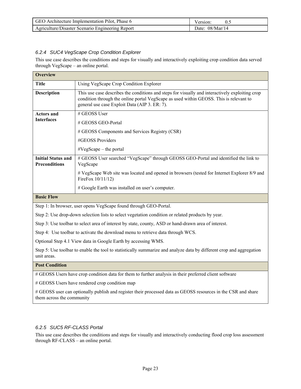| GEO Architecture Implementation Pilot, Phase 6   | Version:          |
|--------------------------------------------------|-------------------|
| Agriculture/Disaster Scenario Engineering Report | Date: $08/Mar/14$ |

# *6.2.4 SUC4 VegScape Crop Condition Explorer*

This use case describes the conditions and steps for visually and interactively exploiting crop condition data served through VegScape – an online portal.

| <b>Overview</b>                                   |                                                                                                                                                                                                                                            |
|---------------------------------------------------|--------------------------------------------------------------------------------------------------------------------------------------------------------------------------------------------------------------------------------------------|
| <b>Title</b>                                      | Using VegScape Crop Condition Explorer                                                                                                                                                                                                     |
| <b>Description</b>                                | This use case describes the conditions and steps for visually and interactively exploiting crop<br>condition through the online portal VegScape as used within GEOSS. This is relevant to<br>general use case Exploit Data (AIP 3. ER: 7). |
| <b>Actors and</b>                                 | $\#$ GEOSS User                                                                                                                                                                                                                            |
| <b>Interfaces</b>                                 | # GEOSS GEO-Portal                                                                                                                                                                                                                         |
|                                                   | # GEOSS Components and Services Registry (CSR)                                                                                                                                                                                             |
|                                                   | #GEOSS Providers                                                                                                                                                                                                                           |
|                                                   | $\#VegScope - the portal$                                                                                                                                                                                                                  |
| <b>Initial Status and</b><br><b>Preconditions</b> | # GEOSS User searched "VegScape" through GEOSS GEO-Portal and identified the link to<br>VegScape                                                                                                                                           |
|                                                   | # VegScape Web site was located and opened in browsers (tested for Internet Explorer 8/9 and<br>FireFox 10/11/12)                                                                                                                          |
|                                                   | # Google Earth was installed on user's computer.                                                                                                                                                                                           |
| <b>Basic Flow</b>                                 |                                                                                                                                                                                                                                            |
|                                                   | Step 1: In browser, user opens VegScape found through GEO-Portal.                                                                                                                                                                          |

Step 2: Use drop-down selection lists to select vegetation condition or related products by year.

Step 3: Use toolbar to select area of interest by state, county, ASD or hand-drawn area of interest.

Step 4: Use toolbar to activate the download menu to retrieve data through WCS.

Optional Step 4.1 View data in Google Earth by accessing WMS.

Step 5: Use toolbar to enable the tool to statistically summarize and analyze data by different crop and aggregation unit areas.

#### **Post Condition**

# GEOSS Users have crop condition data for them to further analysis in their preferred client software

# GEOSS Users have rendered crop condition map

# GEOSS user can optionally publish and register their processed data as GEOSS resources in the CSR and share them across the community

#### *6.2.5 SUC5 RF-CLASS Portal*

This use case describes the conditions and steps for visually and interactively conducting flood crop loss assessment through RF-CLASS – an online portal.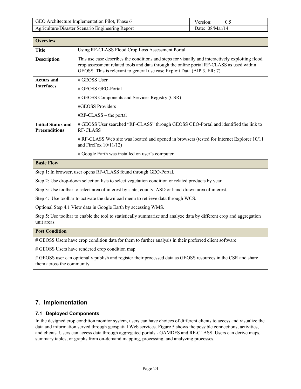| GEO Architecture Implementation Pilot, Phase 6   | Version:          |
|--------------------------------------------------|-------------------|
| Agriculture/Disaster Scenario Engineering Report | Date: $08/Mar/14$ |

| <b>Overview</b>                                                                                                                     |                                                                                                                                                                                                                                                                          |  |
|-------------------------------------------------------------------------------------------------------------------------------------|--------------------------------------------------------------------------------------------------------------------------------------------------------------------------------------------------------------------------------------------------------------------------|--|
| <b>Title</b>                                                                                                                        | Using RF-CLASS Flood Crop Loss Assessment Portal                                                                                                                                                                                                                         |  |
| <b>Description</b>                                                                                                                  | This use case describes the conditions and steps for visually and interactively exploiting flood<br>crop assessment related tools and data through the online portal RF-CLASS as used within<br>GEOSS. This is relevant to general use case Exploit Data (AIP 3. ER: 7). |  |
| <b>Actors and</b>                                                                                                                   | # GEOSS User                                                                                                                                                                                                                                                             |  |
| <b>Interfaces</b>                                                                                                                   | # GEOSS GEO-Portal                                                                                                                                                                                                                                                       |  |
|                                                                                                                                     | # GEOSS Components and Services Registry (CSR)                                                                                                                                                                                                                           |  |
|                                                                                                                                     | #GEOSS Providers                                                                                                                                                                                                                                                         |  |
|                                                                                                                                     | $\#RF-CLASS$ – the portal                                                                                                                                                                                                                                                |  |
| <b>Initial Status and</b><br><b>Preconditions</b>                                                                                   | # GEOSS User searched "RF-CLASS" through GEOSS GEO-Portal and identified the link to<br><b>RF-CLASS</b>                                                                                                                                                                  |  |
|                                                                                                                                     | # RF-CLASS Web site was located and opened in browsers (tested for Internet Explorer 10/11<br>and FireFox $10/11/12$ )                                                                                                                                                   |  |
|                                                                                                                                     | # Google Earth was installed on user's computer.                                                                                                                                                                                                                         |  |
| <b>Basic Flow</b>                                                                                                                   |                                                                                                                                                                                                                                                                          |  |
|                                                                                                                                     | Step 1: In browser, user opens RF-CLASS found through GEO-Portal.                                                                                                                                                                                                        |  |
| Step 2: Use drop-down selection lists to select vegetation condition or related products by year.                                   |                                                                                                                                                                                                                                                                          |  |
| Step 3: Use toolbar to select area of interest by state, county, ASD or hand-drawn area of interest.                                |                                                                                                                                                                                                                                                                          |  |
| Step 4: Use toolbar to activate the download menu to retrieve data through WCS.                                                     |                                                                                                                                                                                                                                                                          |  |
| Optional Step 4.1 View data in Google Earth by accessing WMS.                                                                       |                                                                                                                                                                                                                                                                          |  |
| Step 5: Use toolbar to enable the tool to statistically summarize and analyze data by different crop and aggregation<br>unit areas. |                                                                                                                                                                                                                                                                          |  |
| <b>Post Condition</b>                                                                                                               |                                                                                                                                                                                                                                                                          |  |

# GEOSS Users have crop condition data for them to further analysis in their preferred client software

# GEOSS Users have rendered crop condition map

# GEOSS user can optionally publish and register their processed data as GEOSS resources in the CSR and share them across the community

# **7. Implementation**

# **7.1 Deployed Components**

In the designed crop condition monitor system, users can have choices of different clients to access and visualize the data and information served through geospatial Web services. Figure 5 shows the possible connections, activities, and clients. Users can access data through aggregated portals - GAMDFS and RF-CLASS. Users can derive maps, summary tables, or graphs from on-demand mapping, processing, and analyzing processes.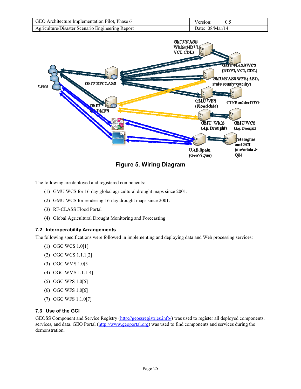| GEO Architecture Implementation Pilot, Phase 6   | 0.2<br>Version:   |
|--------------------------------------------------|-------------------|
| Agriculture/Disaster Scenario Engineering Report | Date: $08/Mar/14$ |



**Figure 5. Wiring Diagram** 

The following are deployed and registered components:

- (1) GMU WCS for 16-day global agricultural drought maps since 2001.
- (2) GMU WCS for rendering 16-day drought maps since 2001.
- (3) RF-CLASS Flood Portal
- (4) Global Agricultural Drought Monitoring and Forecasting

#### **7.2 Interoperability Arrangements**

The following specifications were followed in implementing and deploying data and Web processing services:

- (1) OGC WCS 1.0[1]
- (2) OGC WCS 1.1.1[2]
- (3) OGC WMS 1.0[3]
- (4) OGC WMS 1.1.1[4]
- (5) OGC WPS 1.0[5]
- (6) OGC WFS 1.0[6]
- (7) OGC WFS 1.1.0[7]

# **7.3 Use of the GCI**

GEOSS Component and Service Registry (http://geossregistries.info/) was used to register all deployed components, services, and data. GEO Portal (http://www.geoportal.org) was used to find components and services during the demonstration.